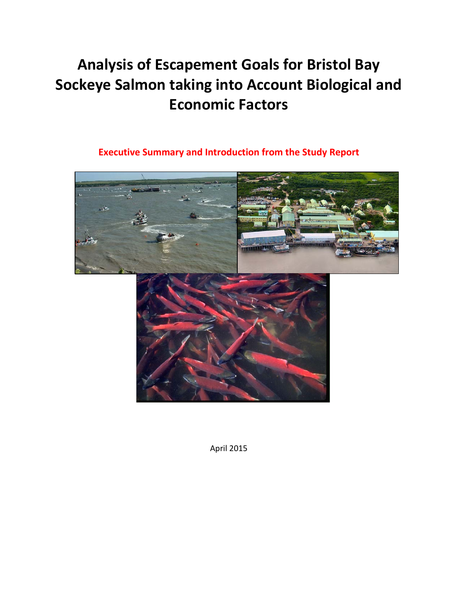# **Analysis of Escapement Goals for Bristol Bay Sockeye Salmon taking into Account Biological and Economic Factors**

# **Executive Summary and Introduction from the Study Report**



April 2015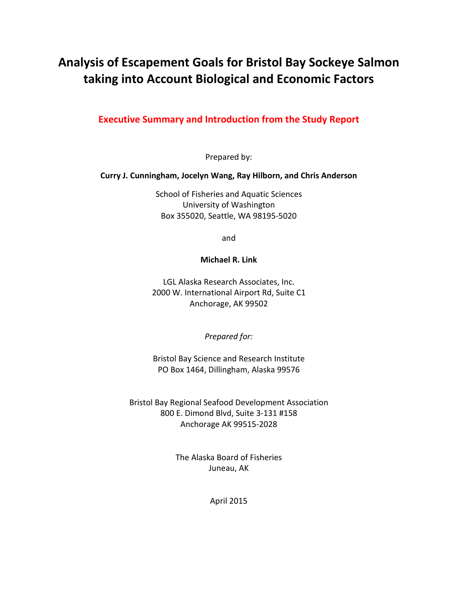# **Analysis of Escapement Goals for Bristol Bay Sockeye Salmon taking into Account Biological and Economic Factors**

# **Executive Summary and Introduction from the Study Report**

Prepared by:

#### **Curry J. Cunningham, Jocelyn Wang, Ray Hilborn, and Chris Anderson**

School of Fisheries and Aquatic Sciences University of Washington Box 355020, Seattle, WA 98195-5020

and

#### **Michael R. Link**

LGL Alaska Research Associates, Inc. 2000 W. International Airport Rd, Suite C1 Anchorage, AK 99502

*Prepared for:*

Bristol Bay Science and Research Institute PO Box 1464, Dillingham, Alaska 99576

Bristol Bay Regional Seafood Development Association 800 E. Dimond Blvd, Suite 3-131 #158 Anchorage AK 99515-2028

> The Alaska Board of Fisheries Juneau, AK

> > April 2015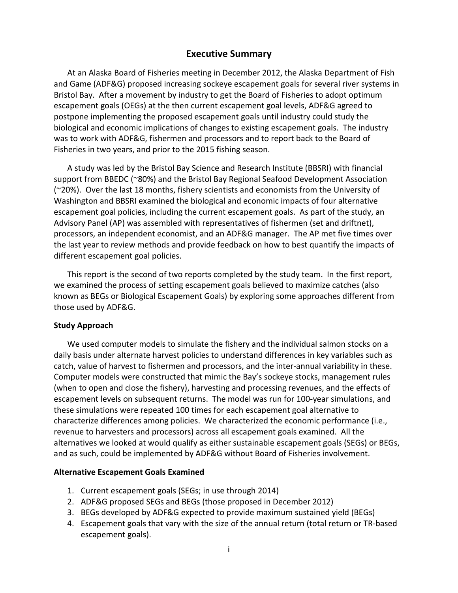#### **Executive Summary**

At an Alaska Board of Fisheries meeting in December 2012, the Alaska Department of Fish and Game (ADF&G) proposed increasing sockeye escapement goals for several river systems in Bristol Bay. After a movement by industry to get the Board of Fisheries to adopt optimum escapement goals (OEGs) at the then current escapement goal levels, ADF&G agreed to postpone implementing the proposed escapement goals until industry could study the biological and economic implications of changes to existing escapement goals. The industry was to work with ADF&G, fishermen and processors and to report back to the Board of Fisheries in two years, and prior to the 2015 fishing season.

A study was led by the Bristol Bay Science and Research Institute (BBSRI) with financial support from BBEDC (~80%) and the Bristol Bay Regional Seafood Development Association (~20%). Over the last 18 months, fishery scientists and economists from the University of Washington and BBSRI examined the biological and economic impacts of four alternative escapement goal policies, including the current escapement goals. As part of the study, an Advisory Panel (AP) was assembled with representatives of fishermen (set and driftnet), processors, an independent economist, and an ADF&G manager. The AP met five times over the last year to review methods and provide feedback on how to best quantify the impacts of different escapement goal policies.

This report is the second of two reports completed by the study team. In the first report, we examined the process of setting escapement goals believed to maximize catches (also known as BEGs or Biological Escapement Goals) by exploring some approaches different from those used by ADF&G.

#### **Study Approach**

We used computer models to simulate the fishery and the individual salmon stocks on a daily basis under alternate harvest policies to understand differences in key variables such as catch, value of harvest to fishermen and processors, and the inter-annual variability in these. Computer models were constructed that mimic the Bay's sockeye stocks, management rules (when to open and close the fishery), harvesting and processing revenues, and the effects of escapement levels on subsequent returns. The model was run for 100-year simulations, and these simulations were repeated 100 times for each escapement goal alternative to characterize differences among policies. We characterized the economic performance (i.e., revenue to harvesters and processors) across all escapement goals examined. All the alternatives we looked at would qualify as either sustainable escapement goals (SEGs) or BEGs, and as such, could be implemented by ADF&G without Board of Fisheries involvement.

#### **Alternative Escapement Goals Examined**

- 1. Current escapement goals (SEGs; in use through 2014)
- 2. ADF&G proposed SEGs and BEGs (those proposed in December 2012)
- 3. BEGs developed by ADF&G expected to provide maximum sustained yield (BEGs)
- 4. Escapement goals that vary with the size of the annual return (total return or TR-based escapement goals).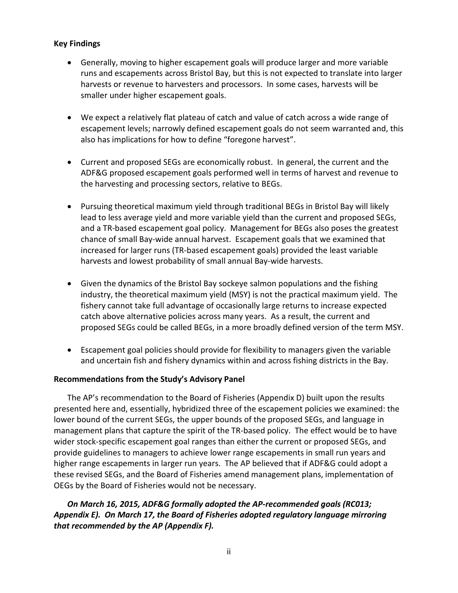#### **Key Findings**

- Generally, moving to higher escapement goals will produce larger and more variable runs and escapements across Bristol Bay, but this is not expected to translate into larger harvests or revenue to harvesters and processors. In some cases, harvests will be smaller under higher escapement goals.
- We expect a relatively flat plateau of catch and value of catch across a wide range of escapement levels; narrowly defined escapement goals do not seem warranted and, this also has implications for how to define "foregone harvest".
- Current and proposed SEGs are economically robust. In general, the current and the ADF&G proposed escapement goals performed well in terms of harvest and revenue to the harvesting and processing sectors, relative to BEGs.
- Pursuing theoretical maximum yield through traditional BEGs in Bristol Bay will likely lead to less average yield and more variable yield than the current and proposed SEGs, and a TR-based escapement goal policy. Management for BEGs also poses the greatest chance of small Bay-wide annual harvest. Escapement goals that we examined that increased for larger runs (TR-based escapement goals) provided the least variable harvests and lowest probability of small annual Bay-wide harvests.
- Given the dynamics of the Bristol Bay sockeye salmon populations and the fishing industry, the theoretical maximum yield (MSY) is not the practical maximum yield. The fishery cannot take full advantage of occasionally large returns to increase expected catch above alternative policies across many years. As a result, the current and proposed SEGs could be called BEGs, in a more broadly defined version of the term MSY.
- Escapement goal policies should provide for flexibility to managers given the variable and uncertain fish and fishery dynamics within and across fishing districts in the Bay.

#### **Recommendations from the Study's Advisory Panel**

The AP's recommendation to the Board of Fisheries (Appendix D) built upon the results presented here and, essentially, hybridized three of the escapement policies we examined: the lower bound of the current SEGs, the upper bounds of the proposed SEGs, and language in management plans that capture the spirit of the TR-based policy. The effect would be to have wider stock-specific escapement goal ranges than either the current or proposed SEGs, and provide guidelines to managers to achieve lower range escapements in small run years and higher range escapements in larger run years. The AP believed that if ADF&G could adopt a these revised SEGs, and the Board of Fisheries amend management plans, implementation of OEGs by the Board of Fisheries would not be necessary.

## *On March 16, 2015, ADF&G formally adopted the AP-recommended goals (RC013; Appendix E). On March 17, the Board of Fisheries adopted regulatory language mirroring that recommended by the AP (Appendix F).*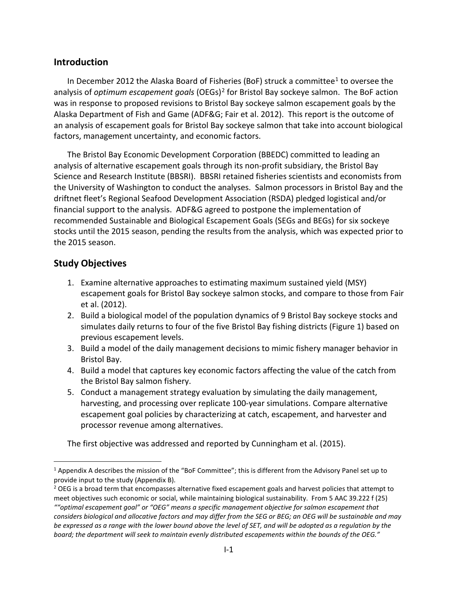# **Introduction**

In December 2012 the Alaska Board of Fisheries (BoF) struck a committee<sup>1</sup> to oversee the analysis of *optimum escapement goals* (OEGs)[2](#page-4-1) for Bristol Bay sockeye salmon. The BoF action was in response to proposed revisions to Bristol Bay sockeye salmon escapement goals by the Alaska Department of Fish and Game (ADF&G; Fair et al. 2012). This report is the outcome of an analysis of escapement goals for Bristol Bay sockeye salmon that take into account biological factors, management uncertainty, and economic factors.

The Bristol Bay Economic Development Corporation (BBEDC) committed to leading an analysis of alternative escapement goals through its non-profit subsidiary, the Bristol Bay Science and Research Institute (BBSRI). BBSRI retained fisheries scientists and economists from the University of Washington to conduct the analyses. Salmon processors in Bristol Bay and the driftnet fleet's Regional Seafood Development Association (RSDA) pledged logistical and/or financial support to the analysis. ADF&G agreed to postpone the implementation of recommended Sustainable and Biological Escapement Goals (SEGs and BEGs) for six sockeye stocks until the 2015 season, pending the results from the analysis, which was expected prior to the 2015 season.

# **Study Objectives**

- 1. Examine alternative approaches to estimating maximum sustained yield (MSY) escapement goals for Bristol Bay sockeye salmon stocks, and compare to those from Fair et al. (2012).
- 2. Build a biological model of the population dynamics of 9 Bristol Bay sockeye stocks and simulates daily returns to four of the five Bristol Bay fishing districts (Figure 1) based on previous escapement levels.
- 3. Build a model of the daily management decisions to mimic fishery manager behavior in Bristol Bay.
- 4. Build a model that captures key economic factors affecting the value of the catch from the Bristol Bay salmon fishery.
- 5. Conduct a management strategy evaluation by simulating the daily management, harvesting, and processing over replicate 100-year simulations. Compare alternative escapement goal policies by characterizing at catch, escapement, and harvester and processor revenue among alternatives.

The first objective was addressed and reported by Cunningham et al. (2015).

<span id="page-4-0"></span> <sup>1</sup> Appendix A describes the mission of the "BoF Committee"; this is different from the Advisory Panel set up to provide input to the study (Appendix B).

<span id="page-4-1"></span><sup>&</sup>lt;sup>2</sup> OEG is a broad term that encompasses alternative fixed escapement goals and harvest policies that attempt to meet objectives such economic or social, while maintaining biological sustainability. From 5 AAC 39.222 f (25)

*<sup>&</sup>quot;"optimal escapement goal" or "OEG" means a specific management objective for salmon escapement that considers biological and allocative factors and may differ from the SEG or BEG; an OEG will be sustainable and may be expressed as a range with the lower bound above the level of SET, and will be adopted as a regulation by the board; the department will seek to maintain evenly distributed escapements within the bounds of the OEG."*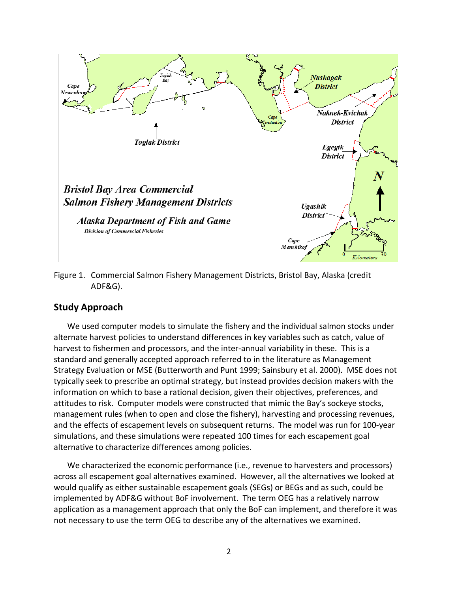

Figure 1. Commercial Salmon Fishery Management Districts, Bristol Bay, Alaska (credit ADF&G).

#### **Study Approach**

We used computer models to simulate the fishery and the individual salmon stocks under alternate harvest policies to understand differences in key variables such as catch, value of harvest to fishermen and processors, and the inter-annual variability in these. This is a standard and generally accepted approach referred to in the literature as Management Strategy Evaluation or MSE (Butterworth and Punt 1999; Sainsbury et al. 2000). MSE does not typically seek to prescribe an optimal strategy, but instead provides decision makers with the information on which to base a rational decision, given their objectives, preferences, and attitudes to risk. Computer models were constructed that mimic the Bay's sockeye stocks, management rules (when to open and close the fishery), harvesting and processing revenues, and the effects of escapement levels on subsequent returns. The model was run for 100-year simulations, and these simulations were repeated 100 times for each escapement goal alternative to characterize differences among policies.

We characterized the economic performance (i.e., revenue to harvesters and processors) across all escapement goal alternatives examined. However, all the alternatives we looked at would qualify as either sustainable escapement goals (SEGs) or BEGs and as such, could be implemented by ADF&G without BoF involvement. The term OEG has a relatively narrow application as a management approach that only the BoF can implement, and therefore it was not necessary to use the term OEG to describe any of the alternatives we examined.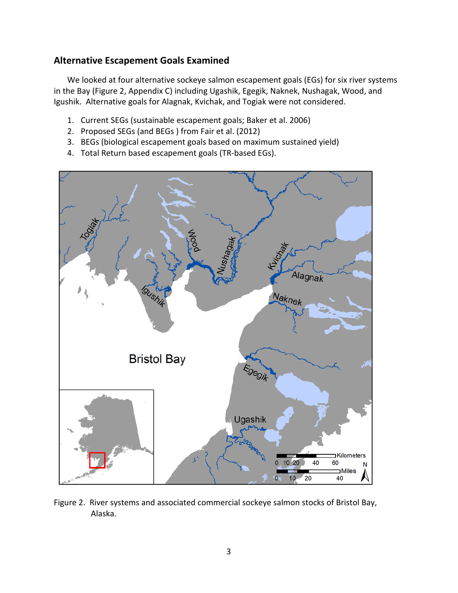# **Alternative Escapement Goals Examined**

We looked at four alternative sockeye salmon escapement goals (EGs) for six river systems in the Bay (Figure 2, Appendix C) including Ugashik, Egegik, Naknek, Nushagak, Wood, and Igushik. Alternative goals for Alagnak, Kvichak, and Togiak were not considered.

- 1. Current SEGs (sustainable escapement goals; Baker et al. 2006)
- 2. Proposed SEGs (and BEGs ) from Fair et al. (2012)
- 3. BEGs (biological escapement goals based on maximum sustained yield)
- 4. Total Return based escapement goals (TR-based EGs).



Figure 2. River systems and associated commercial sockeye salmon stocks of Bristol Bay, Alaska.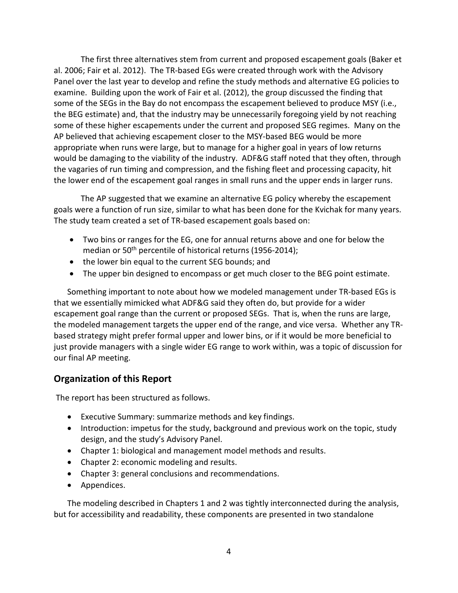The first three alternatives stem from current and proposed escapement goals (Baker et al. 2006; Fair et al. 2012). The TR-based EGs were created through work with the Advisory Panel over the last year to develop and refine the study methods and alternative EG policies to examine. Building upon the work of Fair et al. (2012), the group discussed the finding that some of the SEGs in the Bay do not encompass the escapement believed to produce MSY (i.e., the BEG estimate) and, that the industry may be unnecessarily foregoing yield by not reaching some of these higher escapements under the current and proposed SEG regimes. Many on the AP believed that achieving escapement closer to the MSY-based BEG would be more appropriate when runs were large, but to manage for a higher goal in years of low returns would be damaging to the viability of the industry. ADF&G staff noted that they often, through the vagaries of run timing and compression, and the fishing fleet and processing capacity, hit the lower end of the escapement goal ranges in small runs and the upper ends in larger runs.

The AP suggested that we examine an alternative EG policy whereby the escapement goals were a function of run size, similar to what has been done for the Kvichak for many years. The study team created a set of TR-based escapement goals based on:

- Two bins or ranges for the EG, one for annual returns above and one for below the median or 50<sup>th</sup> percentile of historical returns (1956-2014);
- the lower bin equal to the current SEG bounds; and
- The upper bin designed to encompass or get much closer to the BEG point estimate.

Something important to note about how we modeled management under TR-based EGs is that we essentially mimicked what ADF&G said they often do, but provide for a wider escapement goal range than the current or proposed SEGs. That is, when the runs are large, the modeled management targets the upper end of the range, and vice versa. Whether any TRbased strategy might prefer formal upper and lower bins, or if it would be more beneficial to just provide managers with a single wider EG range to work within, was a topic of discussion for our final AP meeting.

# **Organization of this Report**

The report has been structured as follows.

- Executive Summary: summarize methods and key findings.
- Introduction: impetus for the study, background and previous work on the topic, study design, and the study's Advisory Panel.
- Chapter 1: biological and management model methods and results.
- Chapter 2: economic modeling and results.
- Chapter 3: general conclusions and recommendations.
- Appendices.

The modeling described in Chapters 1 and 2 was tightly interconnected during the analysis, but for accessibility and readability, these components are presented in two standalone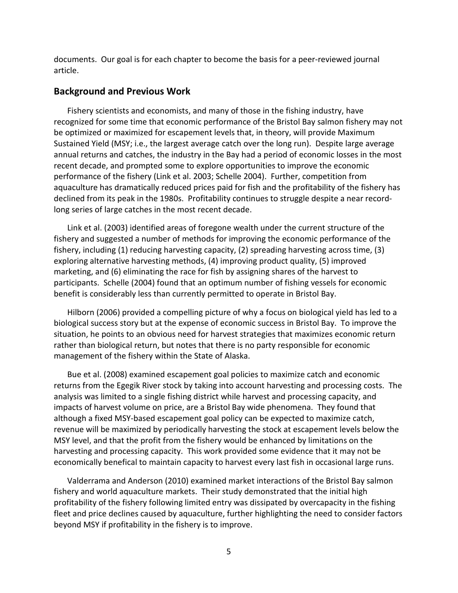documents. Our goal is for each chapter to become the basis for a peer-reviewed journal article.

#### **Background and Previous Work**

Fishery scientists and economists, and many of those in the fishing industry, have recognized for some time that economic performance of the Bristol Bay salmon fishery may not be optimized or maximized for escapement levels that, in theory, will provide Maximum Sustained Yield (MSY; i.e., the largest average catch over the long run). Despite large average annual returns and catches, the industry in the Bay had a period of economic losses in the most recent decade, and prompted some to explore opportunities to improve the economic performance of the fishery (Link et al. 2003; Schelle 2004). Further, competition from aquaculture has dramatically reduced prices paid for fish and the profitability of the fishery has declined from its peak in the 1980s. Profitability continues to struggle despite a near recordlong series of large catches in the most recent decade.

Link et al. (2003) identified areas of foregone wealth under the current structure of the fishery and suggested a number of methods for improving the economic performance of the fishery, including (1) reducing harvesting capacity, (2) spreading harvesting across time, (3) exploring alternative harvesting methods, (4) improving product quality, (5) improved marketing, and (6) eliminating the race for fish by assigning shares of the harvest to participants. Schelle (2004) found that an optimum number of fishing vessels for economic benefit is considerably less than currently permitted to operate in Bristol Bay.

Hilborn (2006) provided a compelling picture of why a focus on biological yield has led to a biological success story but at the expense of economic success in Bristol Bay. To improve the situation, he points to an obvious need for harvest strategies that maximizes economic return rather than biological return, but notes that there is no party responsible for economic management of the fishery within the State of Alaska.

Bue et al. (2008) examined escapement goal policies to maximize catch and economic returns from the Egegik River stock by taking into account harvesting and processing costs. The analysis was limited to a single fishing district while harvest and processing capacity, and impacts of harvest volume on price, are a Bristol Bay wide phenomena. They found that although a fixed MSY-based escapement goal policy can be expected to maximize catch, revenue will be maximized by periodically harvesting the stock at escapement levels below the MSY level, and that the profit from the fishery would be enhanced by limitations on the harvesting and processing capacity. This work provided some evidence that it may not be economically benefical to maintain capacity to harvest every last fish in occasional large runs.

Valderrama and Anderson (2010) examined market interactions of the Bristol Bay salmon fishery and world aquaculture markets. Their study demonstrated that the initial high profitability of the fishery following limited entry was dissipated by overcapacity in the fishing fleet and price declines caused by aquaculture, further highlighting the need to consider factors beyond MSY if profitability in the fishery is to improve.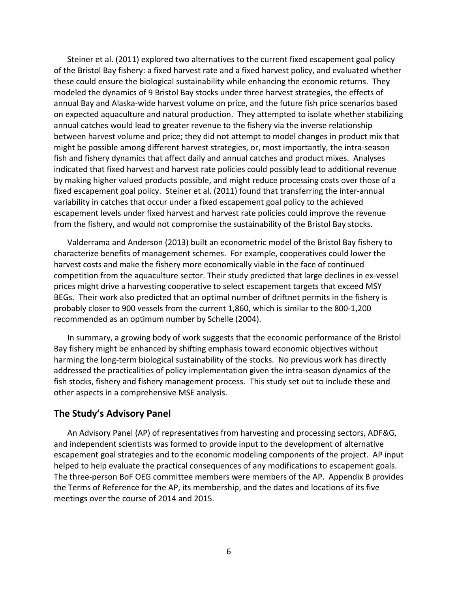Steiner et al. (2011) explored two alternatives to the current fixed escapement goal policy of the Bristol Bay fishery: a fixed harvest rate and a fixed harvest policy, and evaluated whether these could ensure the biological sustainability while enhancing the economic returns. They modeled the dynamics of 9 Bristol Bay stocks under three harvest strategies, the effects of annual Bay and Alaska-wide harvest volume on price, and the future fish price scenarios based on expected aquaculture and natural production. They attempted to isolate whether stabilizing annual catches would lead to greater revenue to the fishery via the inverse relationship between harvest volume and price; they did not attempt to model changes in product mix that might be possible among different harvest strategies, or, most importantly, the intra-season fish and fishery dynamics that affect daily and annual catches and product mixes. Analyses indicated that fixed harvest and harvest rate policies could possibly lead to additional revenue by making higher valued products possible, and might reduce processing costs over those of a fixed escapement goal policy. Steiner et al. (2011) found that transferring the inter-annual variability in catches that occur under a fixed escapement goal policy to the achieved escapement levels under fixed harvest and harvest rate policies could improve the revenue from the fishery, and would not compromise the sustainability of the Bristol Bay stocks.

Valderrama and Anderson (2013) built an econometric model of the Bristol Bay fishery to characterize benefits of management schemes. For example, cooperatives could lower the harvest costs and make the fishery more economically viable in the face of continued competition from the aquaculture sector. Their study predicted that large declines in ex-vessel prices might drive a harvesting cooperative to select escapement targets that exceed MSY BEGs. Their work also predicted that an optimal number of driftnet permits in the fishery is probably closer to 900 vessels from the current 1,860, which is similar to the 800-1,200 recommended as an optimum number by Schelle (2004).

In summary, a growing body of work suggests that the economic performance of the Bristol Bay fishery might be enhanced by shifting emphasis toward economic objectives without harming the long-term biological sustainability of the stocks. No previous work has directly addressed the practicalities of policy implementation given the intra-season dynamics of the fish stocks, fishery and fishery management process. This study set out to include these and other aspects in a comprehensive MSE analysis.

#### **The Study's Advisory Panel**

An Advisory Panel (AP) of representatives from harvesting and processing sectors, ADF&G, and independent scientists was formed to provide input to the development of alternative escapement goal strategies and to the economic modeling components of the project. AP input helped to help evaluate the practical consequences of any modifications to escapement goals. The three-person BoF OEG committee members were members of the AP. Appendix B provides the Terms of Reference for the AP, its membership, and the dates and locations of its five meetings over the course of 2014 and 2015.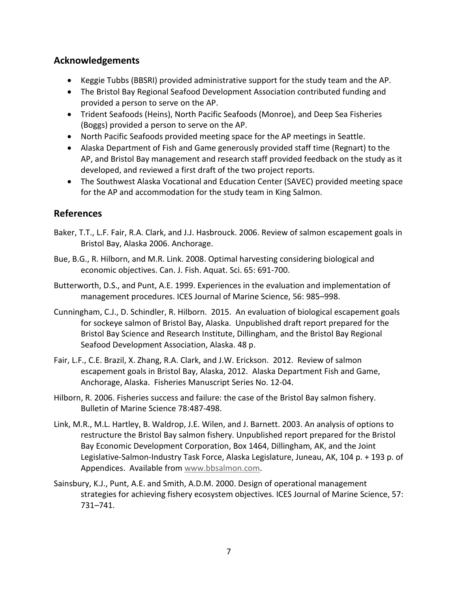# **Acknowledgements**

- Keggie Tubbs (BBSRI) provided administrative support for the study team and the AP.
- The Bristol Bay Regional Seafood Development Association contributed funding and provided a person to serve on the AP.
- Trident Seafoods (Heins), North Pacific Seafoods (Monroe), and Deep Sea Fisheries (Boggs) provided a person to serve on the AP.
- North Pacific Seafoods provided meeting space for the AP meetings in Seattle.
- Alaska Department of Fish and Game generously provided staff time (Regnart) to the AP, and Bristol Bay management and research staff provided feedback on the study as it developed, and reviewed a first draft of the two project reports.
- The Southwest Alaska Vocational and Education Center (SAVEC) provided meeting space for the AP and accommodation for the study team in King Salmon.

# **References**

- Baker, T.T., L.F. Fair, R.A. Clark, and J.J. Hasbrouck. 2006. Review of salmon escapement goals in Bristol Bay, Alaska 2006. Anchorage.
- Bue, B.G., R. Hilborn, and M.R. Link. 2008. Optimal harvesting considering biological and economic objectives. Can. J. Fish. Aquat. Sci. 65: 691-700.
- Butterworth, D.S., and Punt, A.E. 1999. Experiences in the evaluation and implementation of management procedures. ICES Journal of Marine Science, 56: 985–998.
- Cunningham, C.J., D. Schindler, R. Hilborn. 2015. An evaluation of biological escapement goals for sockeye salmon of Bristol Bay, Alaska. Unpublished draft report prepared for the Bristol Bay Science and Research Institute, Dillingham, and the Bristol Bay Regional Seafood Development Association, Alaska. 48 p.
- Fair, L.F., C.E. Brazil, X. Zhang, R.A. Clark, and J.W. Erickson. 2012. Review of salmon escapement goals in Bristol Bay, Alaska, 2012. Alaska Department Fish and Game, Anchorage, Alaska. Fisheries Manuscript Series No. 12-04.
- Hilborn, R. 2006. Fisheries success and failure: the case of the Bristol Bay salmon fishery. Bulletin of Marine Science 78:487-498.
- Link, M.R., M.L. Hartley, B. Waldrop, J.E. Wilen, and J. Barnett. 2003. An analysis of options to restructure the Bristol Bay salmon fishery. Unpublished report prepared for the Bristol Bay Economic Development Corporation, Box 1464, Dillingham, AK, and the Joint Legislative-Salmon-Industry Task Force, Alaska Legislature, Juneau, AK, 104 p. + 193 p. of Appendices. Available from [www.bbsalmon.com.](http://www.bbsalmon.com/)
- Sainsbury, K.J., Punt, A.E. and Smith, A.D.M. 2000. Design of operational management strategies for achieving fishery ecosystem objectives. ICES Journal of Marine Science, 57: 731–741.